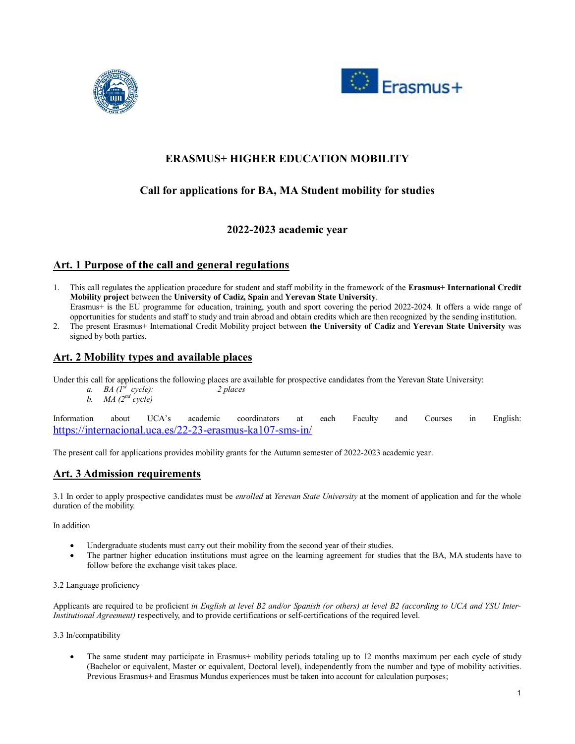



# **ERASMUS+ HIGHER EDUCATION MOBILITY**

# **Call for applications for BA, MA Student mobility for studies**

## **2022-2023 academic year**

## **Art. 1 Purpose of the call and general regulations**

- 1. This call regulates the application procedure for student and staff mobility in the framework of the **Erasmus+ International Credit Mobility project** between the **University of Cadiz, Spain** and **Yerevan State University**. Erasmus+ is the EU programme for education, training, youth and sport covering the period 2022-2024. It offers a wide range of opportunities for students and staff to study and train abroad and obtain credits which are then recognized by the sending institution.
- 2. The present Erasmus+ International Credit Mobility project between **the University of Cadiz** and **Yerevan State University** was signed by both parties.

### **Art. 2 Mobility types and available places**

Under this call for applications the following places are available for prospective candidates from the Yerevan State University:

- *a. BA*  $(\hat{I}^{\hat{s}} \text{ cycle})$ : 2 *places*
- *b. MA*  $(2^{nd}$  *cycle*)

Information about UCA's academic coordinators at each Faculty and Courses in English: https://internacional.uca.es/22-23-erasmus-ka107-sms-in/

The present call for applications provides mobility grants for the Autumn semester of 2022-2023 academic year.

## **Art. 3 Admission requirements**

3.1 In order to apply prospective candidates must be *enrolled* at *Yerevan State University* at the moment of application and for the whole duration of the mobility.

In addition

- Undergraduate students must carry out their mobility from the second year of their studies.
- The partner higher education institutions must agree on the learning agreement for studies that the BA, MA students have to follow before the exchange visit takes place.

### 3.2 Language proficiency

Applicants are required to be proficient *in English at level B2 and/or Spanish (or others) at level B2 (according to UCA and YSU Inter-Institutional Agreement)* respectively, and to provide certifications or self-certifications of the required level.

3.3 In/compatibility

 The same student may participate in Erasmus+ mobility periods totaling up to 12 months maximum per each cycle of study (Bachelor or equivalent, Master or equivalent, Doctoral level), independently from the number and type of mobility activities. Previous Erasmus+ and Erasmus Mundus experiences must be taken into account for calculation purposes;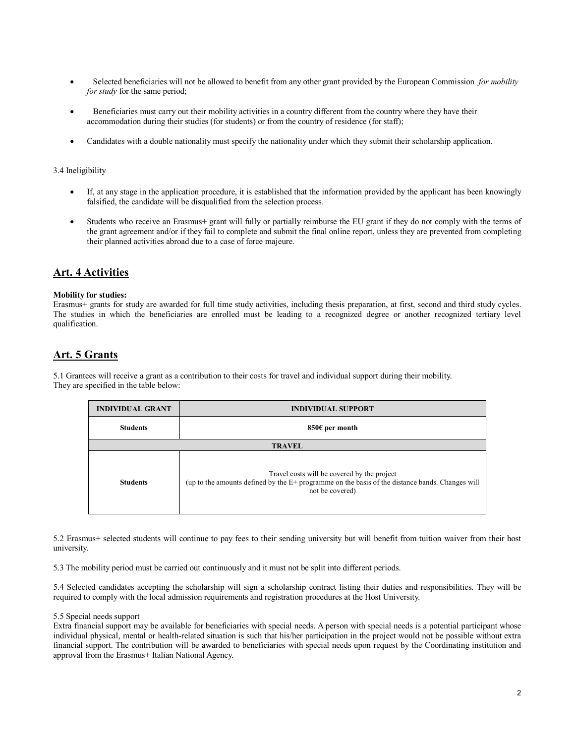- Selected beneficiaries will not be allowed to benefit from any other grant provided by the European Commission *for mobility for study* for the same period;
- Beneficiaries must carry out their mobility activities in a country different from the country where they have their accommodation during their studies (for students) or from the country of residence (for staff);
- Candidates with a double nationality must specify the nationality under which they submit their scholarship application.

### 3.4 Ineligibility

- If, at any stage in the application procedure, it is established that the information provided by the applicant has been knowingly falsified, the candidate will be disqualified from the selection process.
- Students who receive an Erasmus+ grant will fully or partially reimburse the EU grant if they do not comply with the terms of the grant agreement and/or if they fail to complete and submit the final online report, unless they are prevented from completing their planned activities abroad due to a case of force majeure.

### **Art. 4 Activities**

### **Mobility for studies:**

Erasmus+ grants for study are awarded for full time study activities, including thesis preparation, at first, second and third study cycles. The studies in which the beneficiaries are enrolled must be leading to a recognized degree or another recognized tertiary level qualification.

## **Art. 5 Grants**

5.1 Grantees will receive a grant as a contribution to their costs for travel and individual support during their mobility. They are specified in the table below:

| <b>INDIVIDUAL GRANT</b> | <b>INDIVIDUAL SUPPORT</b>                                                                                                                                         |
|-------------------------|-------------------------------------------------------------------------------------------------------------------------------------------------------------------|
| <b>Students</b>         | 850€ per month                                                                                                                                                    |
| <b>TRAVEL</b>           |                                                                                                                                                                   |
| <b>Students</b>         | Travel costs will be covered by the project<br>(up to the amounts defined by the E+ programme on the basis of the distance bands. Changes will<br>not be covered) |

5.2 Erasmus+ selected students will continue to pay fees to their sending university but will benefit from tuition waiver from their host university.

5.3 The mobility period must be carried out continuously and it must not be split into different periods.

5.4 Selected candidates accepting the scholarship will sign a scholarship contract listing their duties and responsibilities. They will be required to comply with the local admission requirements and registration procedures at the Host University.

#### 5.5 Special needs support

Extra financial support may be available for beneficiaries with special needs. A person with special needs is a potential participant whose individual physical, mental or health-related situation is such that his/her participation in the project would not be possible without extra financial support. The contribution will be awarded to beneficiaries with special needs upon request by the Coordinating institution and approval from the Erasmus+ Italian National Agency.